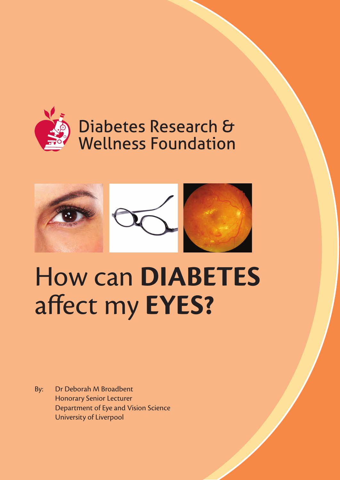

# Diabetes Research & **Wellness Foundation**



# How can **DIABETES**  affect my **EYES?**

By: Dr Deborah M Broadbent Honorary Senior Lecturer Department of Eye and Vision Science University of Liverpool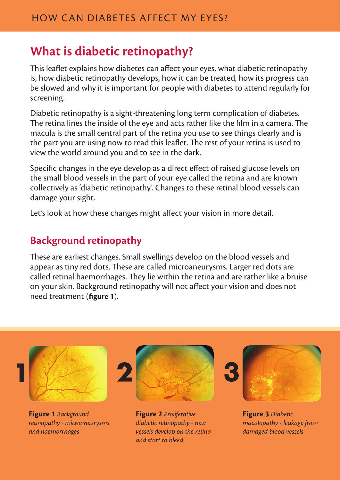#### **What is diabetic retinopathy?**

This leaflet explains how diabetes can affect your eyes, what diabetic retinopathy is, how diabetic retinopathy develops, how it can be treated, how its progress can be slowed and why it is important for people with diabetes to attend regularly for screening.

Diabetic retinopathy is a sight-threatening long term complication of diabetes. The retina lines the inside of the eye and acts rather like the film in a camera. The macula is the small central part of the retina you use to see things clearly and is the part you are using now to read this leaflet. The rest of your retina is used to view the world around you and to see in the dark.

Specific changes in the eye develop as a direct effect of raised glucose levels on the small blood vessels in the part of your eye called the retina and are known collectively as 'diabetic retinopathy'. Changes to these retinal blood vessels can damage your sight.

Let's look at how these changes might affect your vision in more detail.

#### **Background retinopathy**

These are earliest changes. Small swellings develop on the blood vessels and appear as tiny red dots. These are called microaneurysms. Larger red dots are called retinal haemorrhages. They lie within the retina and are rather like a bruise on your skin. Background retinopathy will not affect your vision and does not need treatment (**figure 1**).



**Figure 1** *Background retinopathy - microaneurysms and haemorrhages*



**Figure 2** *Proliferative diabetic retinopathy - new vessels develop on the retina and start to bleed*



**Figure 3** *Diabetic maculopathy - leakage from damaged blood vessels*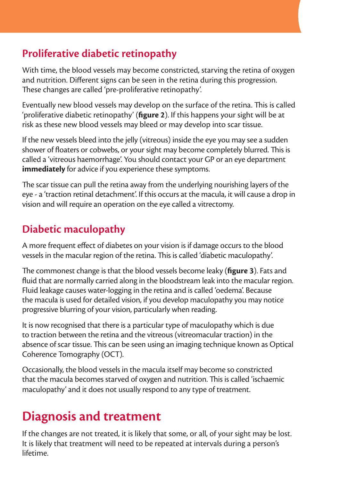#### **Proliferative diabetic retinopathy**

With time, the blood vessels may become constricted, starving the retina of oxygen and nutrition. Different signs can be seen in the retina during this progression. These changes are called 'pre-proliferative retinopathy'.

Eventually new blood vessels may develop on the surface of the retina. This is called 'proliferative diabetic retinopathy' (**figure 2**). If this happens your sight will be at risk as these new blood vessels may bleed or may develop into scar tissue.

If the new vessels bleed into the jelly (vitreous) inside the eye you may see a sudden shower of floaters or cobwebs, or your sight may become completely blurred. This is called a 'vitreous haemorrhage'. You should contact your GP or an eye department **immediately** for advice if you experience these symptoms.

The scar tissue can pull the retina away from the underlying nourishing layers of the eye - a 'traction retinal detachment'. If this occurs at the macula, it will cause a drop in vision and will require an operation on the eye called a vitrectomy.

#### **Diabetic maculopathy**

A more frequent effect of diabetes on your vision is if damage occurs to the blood vessels in the macular region of the retina. This is called 'diabetic maculopathy'.

The commonest change is that the blood vessels become leaky (**figure 3**). Fats and fluid that are normally carried along in the bloodstream leak into the macular region. Fluid leakage causes water-logging in the retina and is called 'oedema'. Because the macula is used for detailed vision, if you develop maculopathy you may notice progressive blurring of your vision, particularly when reading.

It is now recognised that there is a particular type of maculopathy which is due to traction between the retina and the vitreous (vitreomacular traction) in the absence of scar tissue. This can be seen using an imaging technique known as Optical Coherence Tomography (OCT).

Occasionally, the blood vessels in the macula itself may become so constricted that the macula becomes starved of oxygen and nutrition. This is called 'ischaemic maculopathy' and it does not usually respond to any type of treatment.

# **Diagnosis and treatment**

If the changes are not treated, it is likely that some, or all, of your sight may be lost. It is likely that treatment will need to be repeated at intervals during a person's lifetime.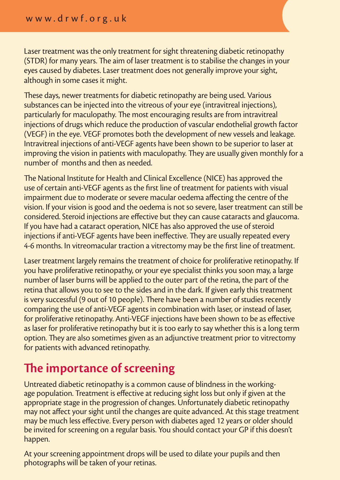Laser treatment was the only treatment for sight threatening diabetic retinopathy (STDR) for many years. The aim of laser treatment is to stabilise the changes in your eyes caused by diabetes. Laser treatment does not generally improve your sight, although in some cases it might.

These days, newer treatments for diabetic retinopathy are being used. Various substances can be injected into the vitreous of your eye (intravitreal injections), particularly for maculopathy. The most encouraging results are from intravitreal injections of drugs which reduce the production of vascular endothelial growth factor (VEGF) in the eye. VEGF promotes both the development of new vessels and leakage. Intravitreal injections of anti-VEGF agents have been shown to be superior to laser at improving the vision in patients with maculopathy. They are usually given monthly for a number of months and then as needed.

The National Institute for Health and Clinical Excellence (NICE) has approved the use of certain anti-VEGF agents as the first line of treatment for patients with visual impairment due to moderate or severe macular oedema affecting the centre of the vision. If your vision is good and the oedema is not so severe, laser treatment can still be considered. Steroid injections are effective but they can cause cataracts and glaucoma. If you have had a cataract operation, NICE has also approved the use of steroid injections if anti-VEGF agents have been ineffective. They are usually repeated every 4-6 months. In vitreomacular traction a vitrectomy may be the first line of treatment.

Laser treatment largely remains the treatment of choice for proliferative retinopathy. If you have proliferative retinopathy, or your eye specialist thinks you soon may, a large number of laser burns will be applied to the outer part of the retina, the part of the retina that allows you to see to the sides and in the dark. If given early this treatment is very successful (9 out of 10 people). There have been a number of studies recently comparing the use of anti-VEGF agents in combination with laser, or instead of laser, for proliferative retinopathy. Anti-VEGF injections have been shown to be as effective as laser for proliferative retinopathy but it is too early to say whether this is a long term option. They are also sometimes given as an adjunctive treatment prior to vitrectomy for patients with advanced retinopathy.

### **The importance of screening**

Untreated diabetic retinopathy is a common cause of blindness in the workingage population. Treatment is effective at reducing sight loss but only if given at the appropriate stage in the progression of changes. Unfortunately diabetic retinopathy may not affect your sight until the changes are quite advanced. At this stage treatment may be much less effective. Every person with diabetes aged 12 years or older should be invited for screening on a regular basis. You should contact your GP if this doesn't happen.

At your screening appointment drops will be used to dilate your pupils and then photographs will be taken of your retinas.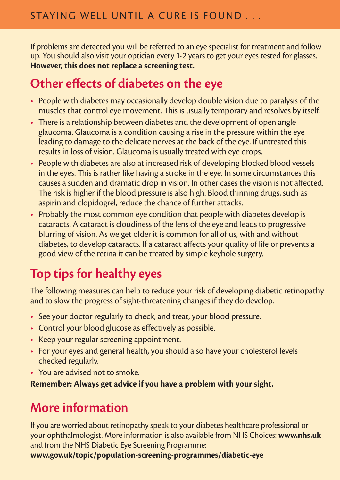If problems are detected you will be referred to an eye specialist for treatment and follow up. You should also visit your optician every 1-2 years to get your eyes tested for glasses. **However, this does not replace a screening test.** 

## **Other effects of diabetes on the eye**

- People with diabetes may occasionally develop double vision due to paralysis of the muscles that control eye movement. This is usually temporary and resolves by itself.
- There is a relationship between diabetes and the development of open angle glaucoma. Glaucoma is a condition causing a rise in the pressure within the eye leading to damage to the delicate nerves at the back of the eye. If untreated this results in loss of vision. Glaucoma is usually treated with eye drops.
- People with diabetes are also at increased risk of developing blocked blood vessels in the eyes. This is rather like having a stroke in the eye. In some circumstances this causes a sudden and dramatic drop in vision. In other cases the vision is not affected. The risk is higher if the blood pressure is also high. Blood thinning drugs, such as aspirin and clopidogrel, reduce the chance of further attacks.
- Probably the most common eye condition that people with diabetes develop is cataracts. A cataract is cloudiness of the lens of the eye and leads to progressive blurring of vision. As we get older it is common for all of us, with and without diabetes, to develop cataracts. If a cataract affects your quality of life or prevents a good view of the retina it can be treated by simple keyhole surgery.

# **Top tips for healthy eyes**

The following measures can help to reduce your risk of developing diabetic retinopathy and to slow the progress of sight-threatening changes if they do develop.

- See your doctor regularly to check, and treat, your blood pressure.
- Control your blood glucose as effectively as possible.
- Keep your regular screening appointment.
- For your eyes and general health, you should also have your cholesterol levels checked regularly.
- You are advised not to smoke.

**Remember: Always get advice if you have a problem with your sight.** 

# **More information**

If you are worried about retinopathy speak to your diabetes healthcare professional or your ophthalmologist. More information is also available from NHS Choices: **www.nhs.uk** and from the NHS Diabetic Eye Screening Programme:

**www.gov.uk/topic/population-screening-programmes/diabetic-eye**